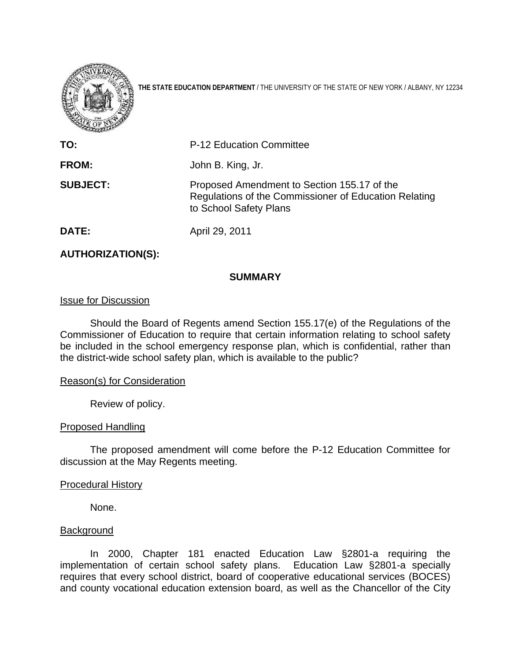

**THE STATE EDUCATION DEPARTMENT** / THE UNIVERSITY OF THE STATE OF NEW YORK / ALBANY, NY 12234

| $\overline{\phantom{a}}$ |                                                                                                                                |
|--------------------------|--------------------------------------------------------------------------------------------------------------------------------|
| TO:                      | <b>P-12 Education Committee</b>                                                                                                |
| <b>FROM:</b>             | John B. King, Jr.                                                                                                              |
| <b>SUBJECT:</b>          | Proposed Amendment to Section 155.17 of the<br>Regulations of the Commissioner of Education Relating<br>to School Safety Plans |
| DATE:                    | April 29, 2011                                                                                                                 |

# **AUTHORIZATION(S):**

## **SUMMARY**

### Issue for Discussion

Should the Board of Regents amend Section 155.17(e) of the Regulations of the Commissioner of Education to require that certain information relating to school safety be included in the school emergency response plan, which is confidential, rather than the district-wide school safety plan, which is available to the public?

#### Reason(s) for Consideration

Review of policy.

#### Proposed Handling

The proposed amendment will come before the P-12 Education Committee for discussion at the May Regents meeting.

## Procedural History

None.

#### **Background**

In 2000, Chapter 181 enacted Education Law §2801-a requiring the implementation of certain school safety plans. Education Law §2801-a specially requires that every school district, board of cooperative educational services (BOCES) and county vocational education extension board, as well as the Chancellor of the City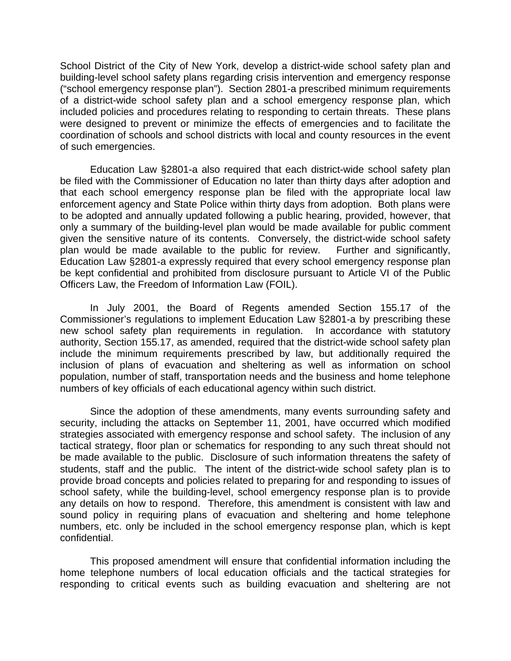School District of the City of New York, develop a district-wide school safety plan and building-level school safety plans regarding crisis intervention and emergency response ("school emergency response plan"). Section 2801-a prescribed minimum requirements of a district-wide school safety plan and a school emergency response plan, which included policies and procedures relating to responding to certain threats. These plans were designed to prevent or minimize the effects of emergencies and to facilitate the coordination of schools and school districts with local and county resources in the event of such emergencies.

Education Law §2801-a also required that each district-wide school safety plan be filed with the Commissioner of Education no later than thirty days after adoption and that each school emergency response plan be filed with the appropriate local law enforcement agency and State Police within thirty days from adoption. Both plans were to be adopted and annually updated following a public hearing, provided, however, that only a summary of the building-level plan would be made available for public comment given the sensitive nature of its contents. Conversely, the district-wide school safety plan would be made available to the public for review. Further and significantly, Education Law §2801-a expressly required that every school emergency response plan be kept confidential and prohibited from disclosure pursuant to Article VI of the Public Officers Law, the Freedom of Information Law (FOIL).

 In July 2001, the Board of Regents amended Section 155.17 of the Commissioner's regulations to implement Education Law §2801-a by prescribing these new school safety plan requirements in regulation. In accordance with statutory authority, Section 155.17, as amended, required that the district-wide school safety plan include the minimum requirements prescribed by law, but additionally required the inclusion of plans of evacuation and sheltering as well as information on school population, number of staff, transportation needs and the business and home telephone numbers of key officials of each educational agency within such district.

 Since the adoption of these amendments, many events surrounding safety and security, including the attacks on September 11, 2001, have occurred which modified strategies associated with emergency response and school safety. The inclusion of any tactical strategy, floor plan or schematics for responding to any such threat should not be made available to the public. Disclosure of such information threatens the safety of students, staff and the public. The intent of the district-wide school safety plan is to provide broad concepts and policies related to preparing for and responding to issues of school safety, while the building-level, school emergency response plan is to provide any details on how to respond. Therefore, this amendment is consistent with law and sound policy in requiring plans of evacuation and sheltering and home telephone numbers, etc. only be included in the school emergency response plan, which is kept confidential.

 This proposed amendment will ensure that confidential information including the home telephone numbers of local education officials and the tactical strategies for responding to critical events such as building evacuation and sheltering are not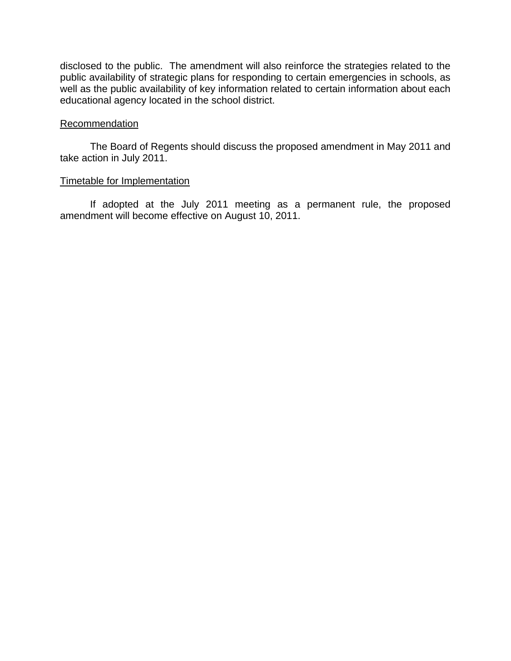disclosed to the public. The amendment will also reinforce the strategies related to the public availability of strategic plans for responding to certain emergencies in schools, as well as the public availability of key information related to certain information about each educational agency located in the school district.

## **Recommendation**

 The Board of Regents should discuss the proposed amendment in May 2011 and take action in July 2011.

# Timetable for Implementation

 If adopted at the July 2011 meeting as a permanent rule, the proposed amendment will become effective on August 10, 2011.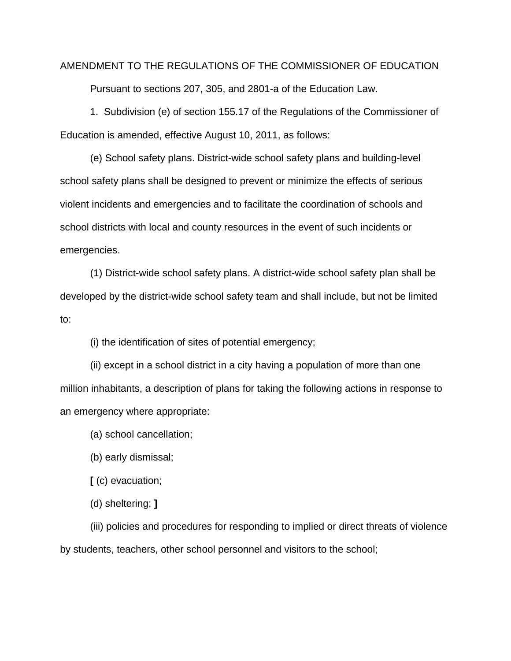# AMENDMENT TO THE REGULATIONS OF THE COMMISSIONER OF EDUCATION Pursuant to sections 207, 305, and 2801-a of the Education Law.

 1. Subdivision (e) of section 155.17 of the Regulations of the Commissioner of Education is amended, effective August 10, 2011, as follows:

 (e) School safety plans. District-wide school safety plans and building-level school safety plans shall be designed to prevent or minimize the effects of serious violent incidents and emergencies and to facilitate the coordination of schools and school districts with local and county resources in the event of such incidents or emergencies.

 (1) District-wide school safety plans. A district-wide school safety plan shall be developed by the district-wide school safety team and shall include, but not be limited to:

(i) the identification of sites of potential emergency;

 (ii) except in a school district in a city having a population of more than one million inhabitants, a description of plans for taking the following actions in response to an emergency where appropriate:

(a) school cancellation;

(b) early dismissal;

 **[** (c) evacuation;

(d) sheltering; **]** 

 (iii) policies and procedures for responding to implied or direct threats of violence by students, teachers, other school personnel and visitors to the school;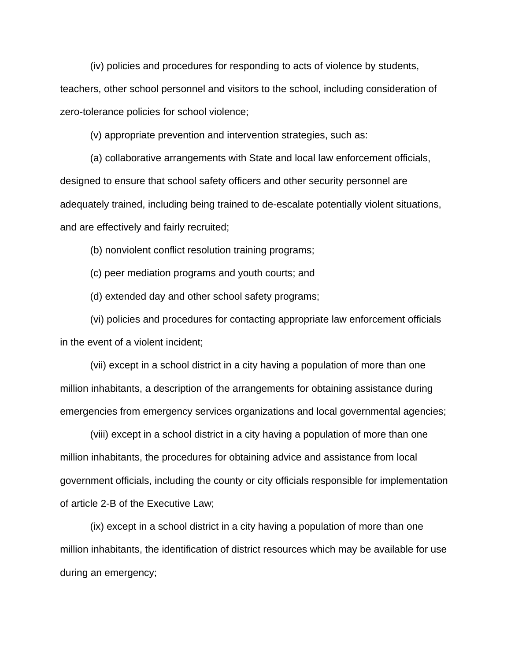(iv) policies and procedures for responding to acts of violence by students,

teachers, other school personnel and visitors to the school, including consideration of zero-tolerance policies for school violence;

(v) appropriate prevention and intervention strategies, such as:

 (a) collaborative arrangements with State and local law enforcement officials, designed to ensure that school safety officers and other security personnel are adequately trained, including being trained to de-escalate potentially violent situations, and are effectively and fairly recruited;

(b) nonviolent conflict resolution training programs;

(c) peer mediation programs and youth courts; and

(d) extended day and other school safety programs;

 (vi) policies and procedures for contacting appropriate law enforcement officials in the event of a violent incident;

 (vii) except in a school district in a city having a population of more than one million inhabitants, a description of the arrangements for obtaining assistance during emergencies from emergency services organizations and local governmental agencies;

 (viii) except in a school district in a city having a population of more than one million inhabitants, the procedures for obtaining advice and assistance from local government officials, including the county or city officials responsible for implementation of article 2-B of the Executive Law;

 (ix) except in a school district in a city having a population of more than one million inhabitants, the identification of district resources which may be available for use during an emergency;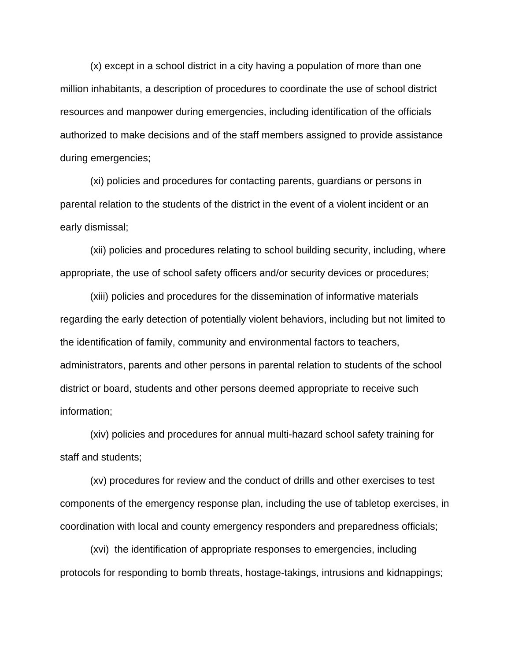(x) except in a school district in a city having a population of more than one million inhabitants, a description of procedures to coordinate the use of school district resources and manpower during emergencies, including identification of the officials authorized to make decisions and of the staff members assigned to provide assistance during emergencies;

 (xi) policies and procedures for contacting parents, guardians or persons in parental relation to the students of the district in the event of a violent incident or an early dismissal;

 (xii) policies and procedures relating to school building security, including, where appropriate, the use of school safety officers and/or security devices or procedures;

 (xiii) policies and procedures for the dissemination of informative materials regarding the early detection of potentially violent behaviors, including but not limited to the identification of family, community and environmental factors to teachers, administrators, parents and other persons in parental relation to students of the school district or board, students and other persons deemed appropriate to receive such information;

 (xiv) policies and procedures for annual multi-hazard school safety training for staff and students;

 (xv) procedures for review and the conduct of drills and other exercises to test components of the emergency response plan, including the use of tabletop exercises, in coordination with local and county emergency responders and preparedness officials;

(xvi) the identification of appropriate responses to emergencies, including protocols for responding to bomb threats, hostage-takings, intrusions and kidnappings;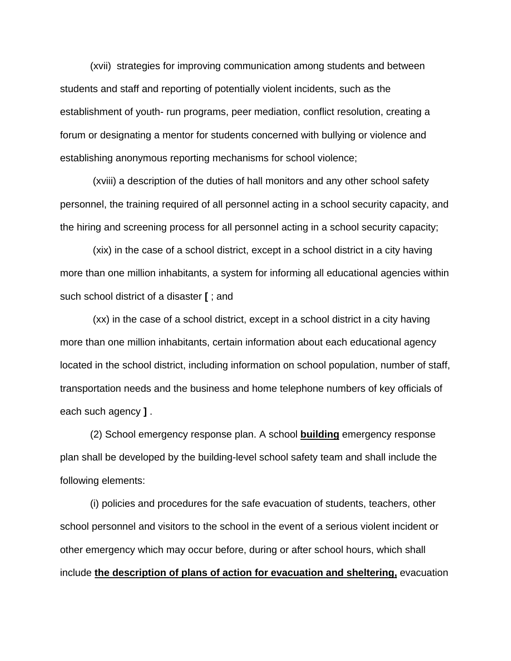(xvii) strategies for improving communication among students and between students and staff and reporting of potentially violent incidents, such as the establishment of youth- run programs, peer mediation, conflict resolution, creating a forum or designating a mentor for students concerned with bullying or violence and establishing anonymous reporting mechanisms for school violence;

 (xviii) a description of the duties of hall monitors and any other school safety personnel, the training required of all personnel acting in a school security capacity, and the hiring and screening process for all personnel acting in a school security capacity;

(xix) in the case of a school district, except in a school district in a city having more than one million inhabitants, a system for informing all educational agencies within such school district of a disaster **[** ; and

(xx) in the case of a school district, except in a school district in a city having more than one million inhabitants, certain information about each educational agency located in the school district, including information on school population, number of staff, transportation needs and the business and home telephone numbers of key officials of each such agency **]** .

 (2) School emergency response plan. A school **building** emergency response plan shall be developed by the building-level school safety team and shall include the following elements:

 (i) policies and procedures for the safe evacuation of students, teachers, other school personnel and visitors to the school in the event of a serious violent incident or other emergency which may occur before, during or after school hours, which shall include **the description of plans of action for evacuation and sheltering,** evacuation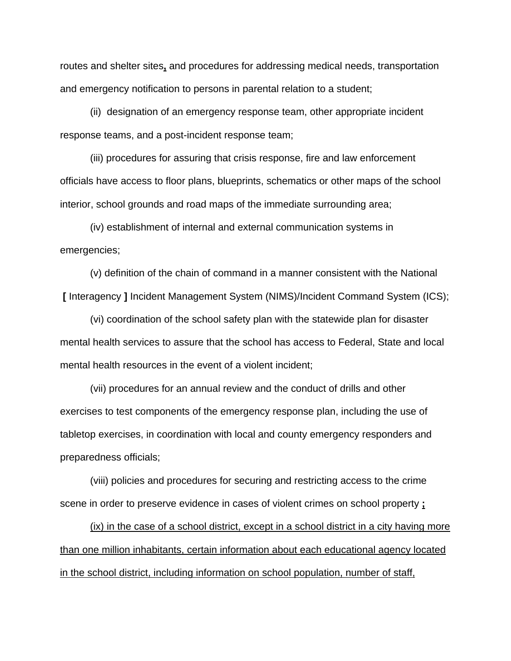routes and shelter sites**,** and procedures for addressing medical needs, transportation and emergency notification to persons in parental relation to a student;

 (ii) designation of an emergency response team, other appropriate incident response teams, and a post-incident response team;

 (iii) procedures for assuring that crisis response, fire and law enforcement officials have access to floor plans, blueprints, schematics or other maps of the school interior, school grounds and road maps of the immediate surrounding area;

 (iv) establishment of internal and external communication systems in emergencies;

 (v) definition of the chain of command in a manner consistent with the National **[** Interagency **]** Incident Management System (NIMS)/Incident Command System (ICS);

 (vi) coordination of the school safety plan with the statewide plan for disaster mental health services to assure that the school has access to Federal, State and local mental health resources in the event of a violent incident;

 (vii) procedures for an annual review and the conduct of drills and other exercises to test components of the emergency response plan, including the use of tabletop exercises, in coordination with local and county emergency responders and preparedness officials;

 (viii) policies and procedures for securing and restricting access to the crime scene in order to preserve evidence in cases of violent crimes on school property **;**

(ix) in the case of a school district, except in a school district in a city having more than one million inhabitants, certain information about each educational agency located in the school district, including information on school population, number of staff,